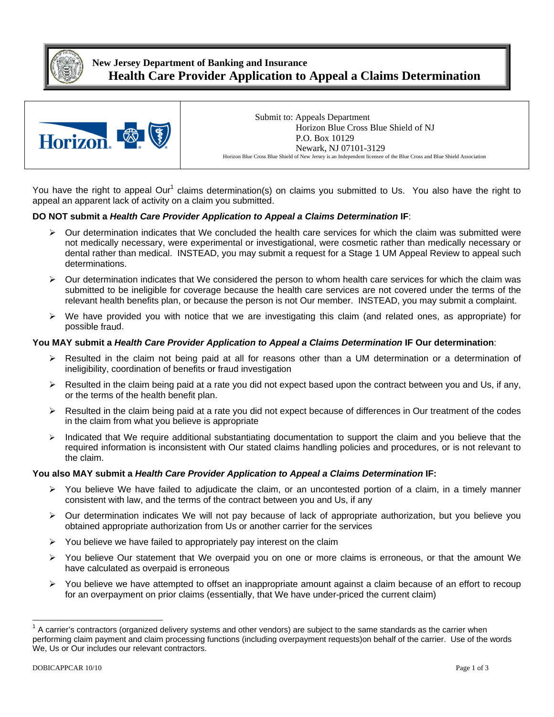

# **New Jersey Department of Banking and Insurance Health Care Provider Application to Appeal a Claims Determination**



 Submit to: Appeals Department Horizon Blue Cross Blue Shield of NJ P.O. Box 10129 Newark, NJ 07101-3129 Horizon Blue Cross Blue Shield of New Jersey is an Independent licensee of the Blue Cross and Blue Shield Association

You have the right to appeal Our<sup>1</sup> claims determination(s) on claims you submitted to Us. You also have the right to appeal an apparent lack of activity on a claim you submitted.

### **DO NOT submit a** *Health Care Provider Application to Appeal a Claims Determination* **IF**:

- $\triangleright$  Our determination indicates that We concluded the health care services for which the claim was submitted were not medically necessary, were experimental or investigational, were cosmetic rather than medically necessary or dental rather than medical. INSTEAD, you may submit a request for a Stage 1 UM Appeal Review to appeal such determinations.
- $\triangleright$  Our determination indicates that We considered the person to whom health care services for which the claim was submitted to be ineligible for coverage because the health care services are not covered under the terms of the relevant health benefits plan, or because the person is not Our member. INSTEAD, you may submit a complaint.
- $\triangleright$  We have provided you with notice that we are investigating this claim (and related ones, as appropriate) for possible fraud.

#### **You MAY submit a** *Health Care Provider Application to Appeal a Claims Determination* **IF Our determination**:

- Resulted in the claim not being paid at all for reasons other than a UM determination or a determination of ineligibility, coordination of benefits or fraud investigation
- $\triangleright$  Resulted in the claim being paid at a rate you did not expect based upon the contract between you and Us, if any, or the terms of the health benefit plan.
- ¾ Resulted in the claim being paid at a rate you did not expect because of differences in Our treatment of the codes in the claim from what you believe is appropriate
- $\triangleright$  Indicated that We require additional substantiating documentation to support the claim and you believe that the required information is inconsistent with Our stated claims handling policies and procedures, or is not relevant to the claim.

#### **You also MAY submit a** *Health Care Provider Application to Appeal a Claims Determination* **IF:**

- ¾ You believe We have failed to adjudicate the claim, or an uncontested portion of a claim, in a timely manner consistent with law, and the terms of the contract between you and Us, if any
- $\triangleright$  Our determination indicates We will not pay because of lack of appropriate authorization, but you believe you obtained appropriate authorization from Us or another carrier for the services
- $\triangleright$  You believe we have failed to appropriately pay interest on the claim
- ¾ You believe Our statement that We overpaid you on one or more claims is erroneous, or that the amount We have calculated as overpaid is erroneous
- $\triangleright$  You believe we have attempted to offset an inappropriate amount against a claim because of an effort to recoup for an overpayment on prior claims (essentially, that We have under-priced the current claim)

 $1$  A carrier's contractors (organized delivery systems and other vendors) are subject to the same standards as the carrier when performing claim payment and claim processing functions (including overpayment requests)on behalf of the carrier. Use of the words We, Us or Our includes our relevant contractors.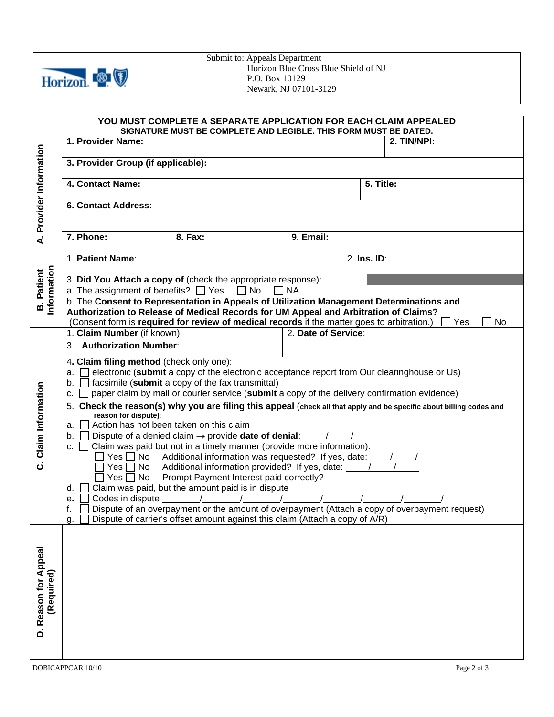

 Submit to: Appeals Department Horizon Blue Cross Blue Shield of NJ P.O. Box 10129 Newark, NJ 07101-3129

| YOU MUST COMPLETE A SEPARATE APPLICATION FOR EACH CLAIM APPEALED<br>SIGNATURE MUST BE COMPLETE AND LEGIBLE. THIS FORM MUST BE DATED. |                                                                                                                              |                                                                                                                                                                                     |                     |               |             |  |  |
|--------------------------------------------------------------------------------------------------------------------------------------|------------------------------------------------------------------------------------------------------------------------------|-------------------------------------------------------------------------------------------------------------------------------------------------------------------------------------|---------------------|---------------|-------------|--|--|
| Provider Information                                                                                                                 | 1. Provider Name:                                                                                                            |                                                                                                                                                                                     |                     |               | 2. TIN/NPI: |  |  |
|                                                                                                                                      | 3. Provider Group (if applicable):                                                                                           |                                                                                                                                                                                     |                     |               |             |  |  |
|                                                                                                                                      | 4. Contact Name:                                                                                                             |                                                                                                                                                                                     |                     | 5. Title:     |             |  |  |
|                                                                                                                                      | <b>6. Contact Address:</b>                                                                                                   |                                                                                                                                                                                     |                     |               |             |  |  |
| $\overline{\mathbf{A}}$                                                                                                              | 7. Phone:                                                                                                                    | 8. Fax:                                                                                                                                                                             | 9. Email:           |               |             |  |  |
|                                                                                                                                      | 1. Patient Name:                                                                                                             |                                                                                                                                                                                     |                     | $2.$ Ins. ID: |             |  |  |
| <b>B.</b> Patient<br>Information                                                                                                     | 3. Did You Attach a copy of (check the appropriate response):                                                                |                                                                                                                                                                                     |                     |               |             |  |  |
|                                                                                                                                      | a. The assignment of benefits?                                                                                               | Yes<br><b>No</b>                                                                                                                                                                    | <b>NA</b>           |               |             |  |  |
|                                                                                                                                      |                                                                                                                              | b. The Consent to Representation in Appeals of Utilization Management Determinations and                                                                                            |                     |               |             |  |  |
|                                                                                                                                      |                                                                                                                              | Authorization to Release of Medical Records for UM Appeal and Arbitration of Claims?<br>(Consent form is required for review of medical records if the matter goes to arbitration.) |                     |               | No<br>  Yes |  |  |
|                                                                                                                                      | 1. Claim Number (if known):                                                                                                  |                                                                                                                                                                                     | 2. Date of Service: |               |             |  |  |
|                                                                                                                                      | 3. Authorization Number:                                                                                                     |                                                                                                                                                                                     |                     |               |             |  |  |
|                                                                                                                                      | 4. Claim filing method (check only one):                                                                                     |                                                                                                                                                                                     |                     |               |             |  |  |
|                                                                                                                                      |                                                                                                                              | a. $\Box$ electronic (submit a copy of the electronic acceptance report from Our clearinghouse or Us)                                                                               |                     |               |             |  |  |
|                                                                                                                                      |                                                                                                                              | b. $\Box$ facsimile (submit a copy of the fax transmittal)                                                                                                                          |                     |               |             |  |  |
|                                                                                                                                      | c. $\Box$ paper claim by mail or courier service (submit a copy of the delivery confirmation evidence)                       |                                                                                                                                                                                     |                     |               |             |  |  |
| C. Claim Information                                                                                                                 | 5. Check the reason(s) why you are filing this appeal (check all that apply and be specific about billing codes and          |                                                                                                                                                                                     |                     |               |             |  |  |
|                                                                                                                                      | reason for dispute):<br>a. $\Box$ Action has not been taken on this claim                                                    |                                                                                                                                                                                     |                     |               |             |  |  |
|                                                                                                                                      | b. $\Box$ Dispute of a denied claim $\rightarrow$ provide date of denial: $\Box$                                             |                                                                                                                                                                                     |                     |               |             |  |  |
|                                                                                                                                      |                                                                                                                              | c. $\Box$ Claim was paid but not in a timely manner (provide more information):                                                                                                     |                     |               |             |  |  |
|                                                                                                                                      | Yes $\Box$ No Additional information was requested? If yes, date: $\Box$ /                                                   |                                                                                                                                                                                     |                     |               |             |  |  |
|                                                                                                                                      |                                                                                                                              |                                                                                                                                                                                     |                     |               |             |  |  |
|                                                                                                                                      | $\exists$ Yes $\Box$ No Prompt Payment Interest paid correctly?<br>Claim was paid, but the amount paid is in dispute<br>d. I |                                                                                                                                                                                     |                     |               |             |  |  |
|                                                                                                                                      | Codes in dispute $\sqrt{2}$ / $\sqrt{2}$<br>e. $\Box$                                                                        |                                                                                                                                                                                     |                     |               |             |  |  |
|                                                                                                                                      | Dispute of an overpayment or the amount of overpayment (Attach a copy of overpayment request)<br>f.                          |                                                                                                                                                                                     |                     |               |             |  |  |
| $\Box$ Dispute of carrier's offset amount against this claim (Attach a copy of A/R)<br>$\Omega$                                      |                                                                                                                              |                                                                                                                                                                                     |                     |               |             |  |  |
|                                                                                                                                      |                                                                                                                              |                                                                                                                                                                                     |                     |               |             |  |  |
|                                                                                                                                      |                                                                                                                              |                                                                                                                                                                                     |                     |               |             |  |  |
|                                                                                                                                      |                                                                                                                              |                                                                                                                                                                                     |                     |               |             |  |  |
|                                                                                                                                      |                                                                                                                              |                                                                                                                                                                                     |                     |               |             |  |  |
|                                                                                                                                      |                                                                                                                              |                                                                                                                                                                                     |                     |               |             |  |  |
| (Required)                                                                                                                           |                                                                                                                              |                                                                                                                                                                                     |                     |               |             |  |  |
| D. Reason for Appeal                                                                                                                 |                                                                                                                              |                                                                                                                                                                                     |                     |               |             |  |  |
|                                                                                                                                      |                                                                                                                              |                                                                                                                                                                                     |                     |               |             |  |  |
|                                                                                                                                      |                                                                                                                              |                                                                                                                                                                                     |                     |               |             |  |  |